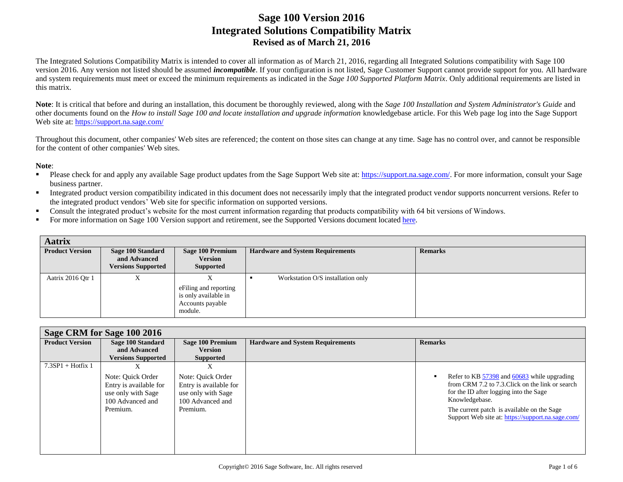The Integrated Solutions Compatibility Matrix is intended to cover all information as of March 21, 2016, regarding all Integrated Solutions compatibility with Sage 100 version 2016. Any version not listed should be assumed *incompatible*. If your configuration is not listed, Sage Customer Support cannot provide support for you. All hardware and system requirements must meet or exceed the minimum requirements as indicated in the *Sage 100 Supported Platform Matrix*. Only additional requirements are listed in this matrix.

**Note**: It is critical that before and during an installation, this document be thoroughly reviewed, along with the *Sage 100 Installation and System Administrator's Guide* and other documents found on the *How to install Sage 100 and locate installation and upgrade information* knowledgebase article. For this Web page log into the Sage Support Web site at[: https://support.na.sage.com/](https://support.na.sage.com/)

Throughout this document, other companies' Web sites are referenced; the content on those sites can change at any time. Sage has no control over, and cannot be responsible for the content of other companies' Web sites.

#### **Note**:

- Please check for and apply any available Sage product updates from the Sage Support Web site at[: https://support.na.sage.com/.](https://support.na.sage.com/) For more information, consult your Sage business partner.
- Integrated product version compatibility indicated in this document does not necessarily imply that the integrated product vendor supports noncurrent versions. Refer to the integrated product vendors' Web site for specific information on supported versions.
- Consult the integrated product's website for the most current information regarding that products compatibility with 64 bit versions of Windows.
- For more information on Sage 100 Version support and retirement, see the Supported Versions document located [here.](https://support.na.sage.com/selfservice/viewdocument.do?noCount=true&externalId=31477&sliceId=1&dialogID=113151&cmd=displayKC&docType=kc&noCount=true&stateId=113158&isLoadPublishedVer=&docTypeID=DT_Article&ViewedDocsListHelper=com.kanisa.apps.common.BaseViewedDocsListHelperImpl)

| <b>Aatrix</b>          |                                                                |                                                                               |                                         |                |
|------------------------|----------------------------------------------------------------|-------------------------------------------------------------------------------|-----------------------------------------|----------------|
| <b>Product Version</b> | Sage 100 Standard<br>and Advanced<br><b>Versions Supported</b> | Sage 100 Premium<br><b>Version</b><br>Supported                               | <b>Hardware and System Requirements</b> | <b>Remarks</b> |
| Aatrix 2016 Qtr 1      | Λ                                                              | e Filing and reporting<br>is only available in<br>Accounts payable<br>module. | Workstation O/S installation only       |                |

|                        | Sage CRM for Sage 100 2016                                                                             |                                                                                                        |                                         |                                                                                                                                                                                                                                                                |  |  |
|------------------------|--------------------------------------------------------------------------------------------------------|--------------------------------------------------------------------------------------------------------|-----------------------------------------|----------------------------------------------------------------------------------------------------------------------------------------------------------------------------------------------------------------------------------------------------------------|--|--|
| <b>Product Version</b> | Sage 100 Standard<br>and Advanced                                                                      | Sage 100 Premium<br><b>Version</b>                                                                     | <b>Hardware and System Requirements</b> | <b>Remarks</b>                                                                                                                                                                                                                                                 |  |  |
|                        | <b>Versions Supported</b>                                                                              | <b>Supported</b>                                                                                       |                                         |                                                                                                                                                                                                                                                                |  |  |
| $7.3SP1 + Hotfix 1$    | л<br>Note: Quick Order<br>Entry is available for<br>use only with Sage<br>100 Advanced and<br>Premium. | X<br>Note: Quick Order<br>Entry is available for<br>use only with Sage<br>100 Advanced and<br>Premium. |                                         | Refer to KB 57398 and 60683 while upgrading<br>from CRM 7.2 to 7.3. Click on the link or search<br>for the ID after logging into the Sage<br>Knowledgebase.<br>The current patch is available on the Sage<br>Support Web site at: https://support.na.sage.com/ |  |  |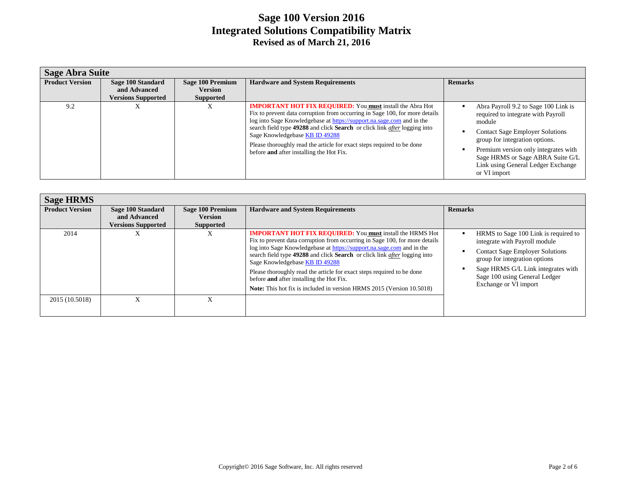|                        | <b>Sage Abra Suite</b>                                         |                                                        |                                                                                                                                                                                                                                                                                                                                                                                                                                                                      |                                                                                                                                                                                                                                                                                                    |  |  |
|------------------------|----------------------------------------------------------------|--------------------------------------------------------|----------------------------------------------------------------------------------------------------------------------------------------------------------------------------------------------------------------------------------------------------------------------------------------------------------------------------------------------------------------------------------------------------------------------------------------------------------------------|----------------------------------------------------------------------------------------------------------------------------------------------------------------------------------------------------------------------------------------------------------------------------------------------------|--|--|
| <b>Product Version</b> | Sage 100 Standard<br>and Advanced<br><b>Versions Supported</b> | Sage 100 Premium<br><b>Version</b><br><b>Supported</b> | <b>Hardware and System Requirements</b>                                                                                                                                                                                                                                                                                                                                                                                                                              | <b>Remarks</b>                                                                                                                                                                                                                                                                                     |  |  |
| 9.2                    | $\lambda$                                                      | л                                                      | <b>IMPORTANT HOT FIX REQUIRED:</b> You must install the Abra Hot<br>Fix to prevent data corruption from occurring in Sage 100, for more details<br>log into Sage Knowledgebase at https://support.na.sage.com and in the<br>search field type 49288 and click Search or click link <i>after</i> logging into<br>Sage Knowledgebase KB ID 49288<br>Please thoroughly read the article for exact steps required to be done<br>before and after installing the Hot Fix. | Abra Payroll 9.2 to Sage 100 Link is<br>required to integrate with Payroll<br>module<br><b>Contact Sage Employer Solutions</b><br>group for integration options.<br>Premium version only integrates with<br>Sage HRMS or Sage ABRA Suite G/L<br>Link using General Ledger Exchange<br>or VI import |  |  |

| <b>Sage HRMS</b>       |                                                                |                                                        |                                                                                                                                                                                                                                                                                                                                                                                                                                                                                                                                                      |                                                                                                                                                                                                                                                  |
|------------------------|----------------------------------------------------------------|--------------------------------------------------------|------------------------------------------------------------------------------------------------------------------------------------------------------------------------------------------------------------------------------------------------------------------------------------------------------------------------------------------------------------------------------------------------------------------------------------------------------------------------------------------------------------------------------------------------------|--------------------------------------------------------------------------------------------------------------------------------------------------------------------------------------------------------------------------------------------------|
| <b>Product Version</b> | Sage 100 Standard<br>and Advanced<br><b>Versions Supported</b> | Sage 100 Premium<br><b>Version</b><br><b>Supported</b> | <b>Hardware and System Requirements</b>                                                                                                                                                                                                                                                                                                                                                                                                                                                                                                              | <b>Remarks</b>                                                                                                                                                                                                                                   |
| 2014                   | $\lambda$                                                      | ∧                                                      | <b>IMPORTANT HOT FIX REQUIRED:</b> You must install the HRMS Hot<br>Fix to prevent data corruption from occurring in Sage 100, for more details<br>log into Sage Knowledgebase at https://support.na.sage.com and in the<br>search field type 49288 and click Search or click link <i>after</i> logging into<br>Sage Knowledgebase KB ID 49288<br>Please thoroughly read the article for exact steps required to be done<br>before and after installing the Hot Fix.<br><b>Note:</b> This hot fix is included in version HRMS 2015 (Version 10.5018) | HRMS to Sage 100 Link is required to<br>integrate with Payroll module<br><b>Contact Sage Employer Solutions</b><br>group for integration options<br>Sage HRMS G/L Link integrates with<br>Sage 100 using General Ledger<br>Exchange or VI import |
| 2015 (10.5018)         | л                                                              |                                                        |                                                                                                                                                                                                                                                                                                                                                                                                                                                                                                                                                      |                                                                                                                                                                                                                                                  |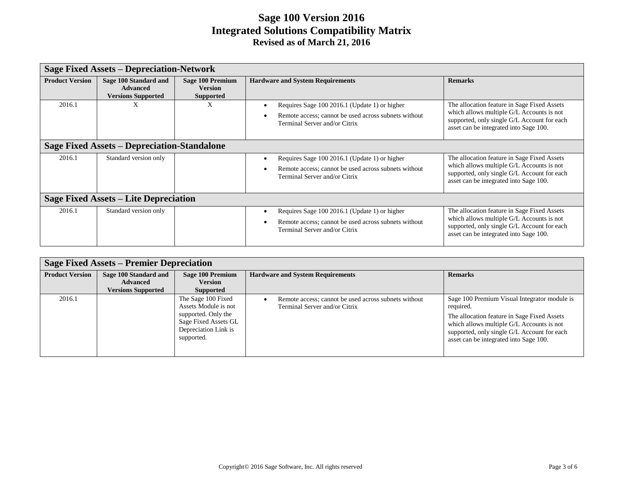|                                       | <b>Sage Fixed Assets – Depreciation-Network</b>                       |                                                               |                                                                                                                                        |                                                                                                                                                                                   |  |
|---------------------------------------|-----------------------------------------------------------------------|---------------------------------------------------------------|----------------------------------------------------------------------------------------------------------------------------------------|-----------------------------------------------------------------------------------------------------------------------------------------------------------------------------------|--|
| <b>Product Version</b>                | Sage 100 Standard and<br><b>Advanced</b><br><b>Versions Supported</b> | <b>Sage 100 Premium</b><br><b>Version</b><br><b>Supported</b> | <b>Hardware and System Requirements</b>                                                                                                | <b>Remarks</b>                                                                                                                                                                    |  |
| 2016.1                                | X                                                                     | X                                                             | Requires Sage 100 2016.1 (Update 1) or higher<br>Remote access; cannot be used across subnets without<br>Terminal Server and/or Citrix | The allocation feature in Sage Fixed Assets<br>which allows multiple G/L Accounts is not<br>supported, only single G/L Account for each<br>asset can be integrated into Sage 100. |  |
|                                       | <b>Sage Fixed Assets - Depreciation-Standalone</b>                    |                                                               |                                                                                                                                        |                                                                                                                                                                                   |  |
| 2016.1                                | Standard version only                                                 |                                                               | Requires Sage 100 2016.1 (Update 1) or higher<br>Remote access; cannot be used across subnets without<br>Terminal Server and/or Citrix | The allocation feature in Sage Fixed Assets<br>which allows multiple G/L Accounts is not<br>supported, only single G/L Account for each<br>asset can be integrated into Sage 100. |  |
| Sage Fixed Assets – Lite Depreciation |                                                                       |                                                               |                                                                                                                                        |                                                                                                                                                                                   |  |
| 2016.1                                | Standard version only                                                 |                                                               | Requires Sage 100 2016.1 (Update 1) or higher<br>Remote access; cannot be used across subnets without<br>Terminal Server and/or Citrix | The allocation feature in Sage Fixed Assets<br>which allows multiple G/L Accounts is not<br>supported, only single G/L Account for each<br>asset can be integrated into Sage 100. |  |

| <b>Sage Fixed Assets – Premier Depreciation</b> |                                          |                                                                                                                                 |                                                                                       |                                                                                                                                                                                                                                                |  |
|-------------------------------------------------|------------------------------------------|---------------------------------------------------------------------------------------------------------------------------------|---------------------------------------------------------------------------------------|------------------------------------------------------------------------------------------------------------------------------------------------------------------------------------------------------------------------------------------------|--|
| <b>Product Version</b>                          | Sage 100 Standard and<br><b>Advanced</b> | <b>Sage 100 Premium</b><br><b>Version</b>                                                                                       | <b>Hardware and System Requirements</b>                                               | <b>Remarks</b>                                                                                                                                                                                                                                 |  |
|                                                 | <b>Versions Supported</b>                | Supported                                                                                                                       |                                                                                       |                                                                                                                                                                                                                                                |  |
| 2016.1                                          |                                          | The Sage 100 Fixed<br>Assets Module is not<br>supported. Only the<br>Sage Fixed Assets GL<br>Depreciation Link is<br>supported. | Remote access; cannot be used across subnets without<br>Terminal Server and/or Citrix | Sage 100 Premium Visual Integrator module is<br>required.<br>The allocation feature in Sage Fixed Assets<br>which allows multiple G/L Accounts is not<br>supported, only single G/L Account for each<br>asset can be integrated into Sage 100. |  |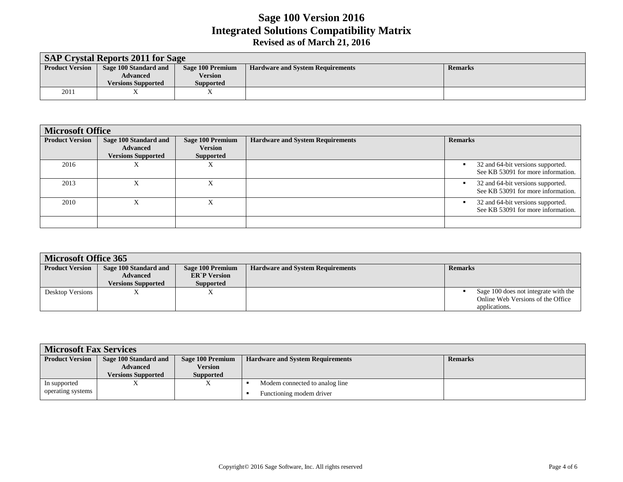| <b>SAP Crystal Reports 2011 for Sage</b> |                           |                  |                                         |                |  |  |
|------------------------------------------|---------------------------|------------------|-----------------------------------------|----------------|--|--|
| <b>Product Version</b>                   | Sage 100 Standard and     | Sage 100 Premium | <b>Hardware and System Requirements</b> | <b>Remarks</b> |  |  |
|                                          | Advanced                  | <b>Version</b>   |                                         |                |  |  |
|                                          | <b>Versions Supported</b> | <b>Supported</b> |                                         |                |  |  |
| 2011                                     |                           |                  |                                         |                |  |  |

| <b>Microsoft Office</b> |                                                                       |                                                        |                                         |                                                                         |  |
|-------------------------|-----------------------------------------------------------------------|--------------------------------------------------------|-----------------------------------------|-------------------------------------------------------------------------|--|
| <b>Product Version</b>  | Sage 100 Standard and<br><b>Advanced</b><br><b>Versions Supported</b> | Sage 100 Premium<br><b>Version</b><br><b>Supported</b> | <b>Hardware and System Requirements</b> | <b>Remarks</b>                                                          |  |
| 2016                    | л                                                                     | Λ                                                      |                                         | 32 and 64-bit versions supported.<br>See KB 53091 for more information. |  |
| 2013                    | л                                                                     | Λ                                                      |                                         | 32 and 64-bit versions supported.<br>See KB 53091 for more information. |  |
| 2010                    | л                                                                     | л                                                      |                                         | 32 and 64-bit versions supported.<br>See KB 53091 for more information. |  |
|                         |                                                                       |                                                        |                                         |                                                                         |  |

|                        | <b>Microsoft Office 365</b> |                     |                                         |                                      |  |  |  |
|------------------------|-----------------------------|---------------------|-----------------------------------------|--------------------------------------|--|--|--|
| <b>Product Version</b> | Sage 100 Standard and       | Sage 100 Premium    | <b>Hardware and System Requirements</b> | <b>Remarks</b>                       |  |  |  |
|                        | <b>Advanced</b>             | <b>ER`P</b> Version |                                         |                                      |  |  |  |
|                        | <b>Versions Supported</b>   | <b>Supported</b>    |                                         |                                      |  |  |  |
| Desktop Versions       |                             | ∡⊾                  |                                         | Sage 100 does not integrate with the |  |  |  |
|                        |                             |                     |                                         | Online Web Versions of the Office    |  |  |  |
|                        |                             |                     |                                         | applications.                        |  |  |  |

| <b>Microsoft Fax Services</b> |                           |                  |                                         |                |  |
|-------------------------------|---------------------------|------------------|-----------------------------------------|----------------|--|
| <b>Product Version</b>        | Sage 100 Standard and     | Sage 100 Premium | <b>Hardware and System Requirements</b> | <b>Remarks</b> |  |
|                               | <b>Advanced</b>           | <b>Version</b>   |                                         |                |  |
|                               | <b>Versions Supported</b> | <b>Supported</b> |                                         |                |  |
| In supported                  |                           |                  | Modem connected to analog line          |                |  |
| operating systems             |                           |                  | Functioning modem driver                |                |  |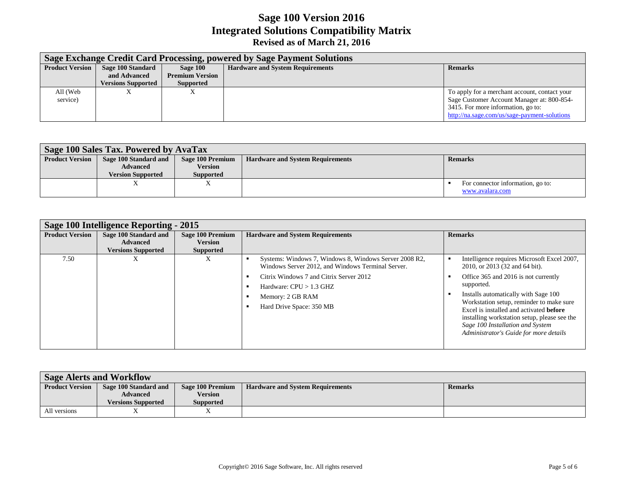|                        | Sage Exchange Credit Card Processing, powered by Sage Payment Solutions |                                    |                                         |                                                                                                                                                                                   |  |  |
|------------------------|-------------------------------------------------------------------------|------------------------------------|-----------------------------------------|-----------------------------------------------------------------------------------------------------------------------------------------------------------------------------------|--|--|
| <b>Product Version</b> | Sage 100 Standard<br>and Advanced                                       | Sage 100<br><b>Premium Version</b> | <b>Hardware and System Requirements</b> | <b>Remarks</b>                                                                                                                                                                    |  |  |
|                        | <b>Versions Supported</b>                                               | <b>Supported</b>                   |                                         |                                                                                                                                                                                   |  |  |
| All (Web<br>service)   | л                                                                       | $\Lambda$                          |                                         | To apply for a merchant account, contact your<br>Sage Customer Account Manager at: 800-854-<br>3415. For more information, go to:<br>http://na.sage.com/us/sage-payment-solutions |  |  |

| Sage 100 Sales Tax. Powered by AvaTax |                          |                  |                                         |                                   |  |  |
|---------------------------------------|--------------------------|------------------|-----------------------------------------|-----------------------------------|--|--|
| <b>Product Version</b>                | Sage 100 Standard and    | Sage 100 Premium | <b>Hardware and System Requirements</b> | <b>Remarks</b>                    |  |  |
|                                       | <b>Advanced</b>          | Version          |                                         |                                   |  |  |
|                                       | <b>Version Supported</b> | <b>Supported</b> |                                         |                                   |  |  |
|                                       |                          |                  |                                         | For connector information, go to: |  |  |
|                                       |                          |                  |                                         | www.avalara.com                   |  |  |

| Sage 100 Intelligence Reporting - 2015 |                                                                       |                                                        |                                                                                                                                                                                                                                     |                                                                                                                                                                                                                                                                                                                                                                                                         |  |
|----------------------------------------|-----------------------------------------------------------------------|--------------------------------------------------------|-------------------------------------------------------------------------------------------------------------------------------------------------------------------------------------------------------------------------------------|---------------------------------------------------------------------------------------------------------------------------------------------------------------------------------------------------------------------------------------------------------------------------------------------------------------------------------------------------------------------------------------------------------|--|
| <b>Product Version</b>                 | Sage 100 Standard and<br><b>Advanced</b><br><b>Versions Supported</b> | Sage 100 Premium<br><b>Version</b><br><b>Supported</b> | <b>Hardware and System Requirements</b>                                                                                                                                                                                             | <b>Remarks</b>                                                                                                                                                                                                                                                                                                                                                                                          |  |
| 7.50                                   | $\lambda$                                                             | X                                                      | Systems: Windows 7, Windows 8, Windows Server 2008 R2,<br>Windows Server 2012, and Windows Terminal Server.<br>Citrix Windows 7 and Citrix Server 2012<br>Hardware: $CPU > 1.3$ GHZ<br>Memory: 2 GB RAM<br>Hard Drive Space: 350 MB | Intelligence requires Microsoft Excel 2007,<br>2010, or 2013 (32 and 64 bit).<br>Office 365 and 2016 is not currently<br>supported.<br>Installs automatically with Sage 100<br>Workstation setup, reminder to make sure<br>Excel is installed and activated <b>before</b><br>installing workstation setup, please see the<br>Sage 100 Installation and System<br>Administrator's Guide for more details |  |

| <b>Sage Alerts and Workflow</b> |                           |                  |                                         |                |  |
|---------------------------------|---------------------------|------------------|-----------------------------------------|----------------|--|
| <b>Product Version</b>          | Sage 100 Standard and     | Sage 100 Premium | <b>Hardware and System Requirements</b> | <b>Remarks</b> |  |
|                                 | <b>Advanced</b>           | <b>Version</b>   |                                         |                |  |
|                                 | <b>Versions Supported</b> | <b>Supported</b> |                                         |                |  |
| All versions                    |                           |                  |                                         |                |  |